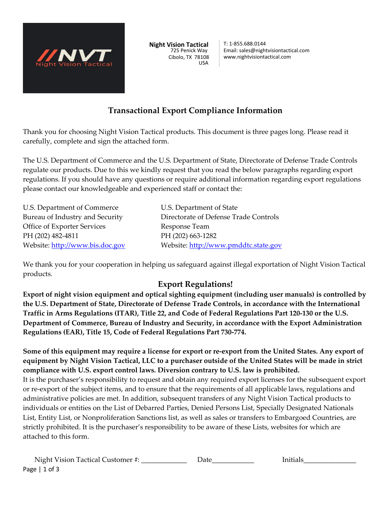

**Night Vision Tactical** 725 Penick Way Cibolo, TX 78108 USA

T: 1-855.688.0144 Email: sales@nightvisiontactical.com www.nightvisiontactical.com

# **Transactional Export Compliance Information**

Thank you for choosing Night Vision Tactical products. This document is three pages long. Please read it carefully, complete and sign the attached form.

The U.S. Department of Commerce and the U.S. Department of State, Directorate of Defense Trade Controls regulate our products. Due to this we kindly request that you read the below paragraphs regarding export regulations. If you should have any questions or require additional information regarding export regulations please contact our knowledgeable and experienced staff or contact the:

U.S. Department of Commerce U.S. Department of State Office of Exporter Services Response Team PH (202) 482-4811 PH (202) 663-1282

Bureau of Industry and Security **Directorate of Defense Trade Controls** Website: http://www.bis.doc.gov Website: http://www.pmddtc.state.gov

We thank you for your cooperation in helping us safeguard against illegal exportation of Night Vision Tactical products.

#### **Export Regulations!**

**Export of night vision equipment and optical sighting equipment (including user manuals) is controlled by the U.S. Department of State, Directorate of Defense Trade Controls, in accordance with the International Traffic in Arms Regulations (ITAR), Title 22, and Code of Federal Regulations Part 120-130 or the U.S. Department of Commerce, Bureau of Industry and Security, in accordance with the Export Administration Regulations (EAR), Title 15, Code of Federal Regulations Part 730-774.** 

**Some of this equipment may require a license for export or re-export from the United States. Any export of equipment by Night Vision Tactical, LLC to a purchaser outside of the United States will be made in strict compliance with U.S. export control laws. Diversion contrary to U.S. law is prohibited.**  It is the purchaser's responsibility to request and obtain any required export licenses for the subsequent export or re-export of the subject items, and to ensure that the requirements of all applicable laws, regulations and administrative policies are met. In addition, subsequent transfers of any Night Vision Tactical products to individuals or entities on the List of Debarred Parties, Denied Persons List, Specially Designated Nationals List, Entity List, or Nonproliferation Sanctions list, as well as sales or transfers to Embargoed Countries, are strictly prohibited. It is the purchaser's responsibility to be aware of these Lists, websites for which are attached to this form.

Page | 1 of 3 Night Vision Tactical Customer #: \_\_\_\_\_\_\_\_\_\_\_\_\_\_\_\_\_\_\_\_ Date\_\_\_\_\_\_\_\_\_\_\_\_\_\_\_\_\_\_\_\_\_ Initials\_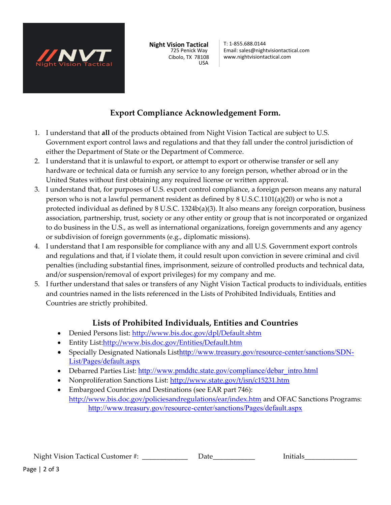

**Night Vision Tactical** 725 Penick Way Cibolo, TX 78108 USA

T: 1-855.688.0144 Email: sales@nightvisiontactical.com www.nightvisiontactical.com

# **Export Compliance Acknowledgement Form.**

- 1. I understand that **all** of the products obtained from Night Vision Tactical are subject to U.S. Government export control laws and regulations and that they fall under the control jurisdiction of either the Department of State or the Department of Commerce.
- 2. I understand that it is unlawful to export, or attempt to export or otherwise transfer or sell any hardware or technical data or furnish any service to any foreign person, whether abroad or in the United States without first obtaining any required license or written approval.
- 3. I understand that, for purposes of U.S. export control compliance, a foreign person means any natural person who is not a lawful permanent resident as defined by 8 U.S.C.1101(a)(20) or who is not a protected individual as defined by 8 U.S.C. 1324b(a)(3). It also means any foreign corporation, business association, partnership, trust, society or any other entity or group that is not incorporated or organized to do business in the U.S., as well as international organizations, foreign governments and any agency or subdivision of foreign governments (e.g., diplomatic missions).
- 4. I understand that I am responsible for compliance with any and all U.S. Government export controls and regulations and that, if I violate them, it could result upon conviction in severe criminal and civil penalties (including substantial fines, imprisonment, seizure of controlled products and technical data, and/or suspension/removal of export privileges) for my company and me.
- 5. I further understand that sales or transfers of any Night Vision Tactical products to individuals, entities and countries named in the lists referenced in the Lists of Prohibited Individuals, Entities and Countries are strictly prohibited.

### **Lists of Prohibited Individuals, Entities and Countries**

- Denied Persons list: http://www.bis.doc.gov/dpl/Default.shtm
- Entity List:http://www.bis.doc.gov/Entities/Default.htm
- Specially Designated Nationals Listhttp://www.treasury.gov/resource-center/sanctions/SDN-List/Pages/default.aspx
- Debarred Parties List: http://www.pmddtc.state.gov/compliance/debar\_intro.html
- Nonproliferation Sanctions List: http://www.state.gov/t/isn/c15231.htm
- Embargoed Countries and Destinations (see EAR part 746): http://www.bis.doc.gov/policiesandregulations/ear/index.htm and OFAC Sanctions Programs: http://www.treasury.gov/resource-center/sanctions/Pages/default.aspx

Night Vision Tactical Customer #:  $\qquad \qquad$  Date  $\qquad \qquad$  Initials